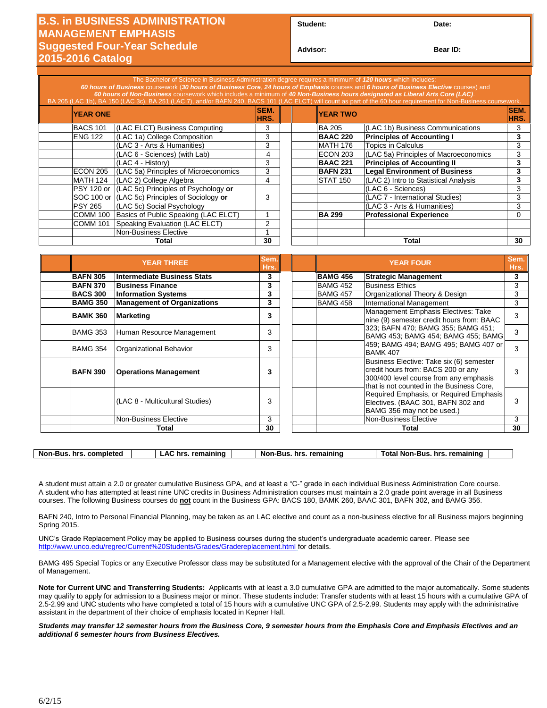## **B.S. in BUSINESS ADMINISTRATION MANAGEMENT EMPHASIS Suggested Four-Year Schedule 2015-2016 Catalog**

| Student: | Date: |
|----------|-------|
|----------|-------|

**Advisor: Bear ID:** 

|       |                 | The Bachelor of Science in Business Administration degree requires a minimum of 120 hours which includes:<br>60 hours of Business coursework (30 hours of Business Core, 24 hours of Emphasis courses and 6 hours of Business Elective courses) and<br>60 hours of Non-Business coursework which includes a minimum of 40 Non-Business hours designated as Liberal Arts Core (LAC). |                     |  |                 | BA 205 (LAC 1b), BA 150 (LAC 3c), BA 251 (LAC 7), and/or BAFN 240, BACS 101 (LAC ELCT) will count as part of the 60 hour requirement for Non-Business coursework. |              |
|-------|-----------------|-------------------------------------------------------------------------------------------------------------------------------------------------------------------------------------------------------------------------------------------------------------------------------------------------------------------------------------------------------------------------------------|---------------------|--|-----------------|-------------------------------------------------------------------------------------------------------------------------------------------------------------------|--------------|
|       | <b>YEAR ONE</b> |                                                                                                                                                                                                                                                                                                                                                                                     | <b>SEM.</b><br>HRS. |  | <b>YEAR TWO</b> |                                                                                                                                                                   | SEM.<br>HRS. |
|       | <b>BACS 101</b> | (LAC ELCT) Business Computing                                                                                                                                                                                                                                                                                                                                                       | 3                   |  | <b>BA 205</b>   | (LAC 1b) Business Communications                                                                                                                                  | 3            |
|       | <b>ENG 122</b>  | (LAC 1a) College Composition                                                                                                                                                                                                                                                                                                                                                        | 3                   |  | <b>BAAC 220</b> | <b>Principles of Accounting I</b>                                                                                                                                 | 3            |
|       |                 | (LAC 3 - Arts & Humanities)                                                                                                                                                                                                                                                                                                                                                         | 3                   |  | <b>MATH 176</b> | <b>Topics in Calculus</b>                                                                                                                                         | 3            |
|       |                 | (LAC 6 - Sciences) (with Lab)                                                                                                                                                                                                                                                                                                                                                       | 4                   |  | ECON 203        | (LAC 5a) Principles of Macroeconomics                                                                                                                             | 3            |
|       |                 | (LAC 4 - History)                                                                                                                                                                                                                                                                                                                                                                   | 3                   |  | <b>BAAC 221</b> | <b>Principles of Accounting II</b>                                                                                                                                | 3            |
|       | <b>ECON 205</b> | (LAC 5a) Principles of Microeconomics                                                                                                                                                                                                                                                                                                                                               | 3                   |  | <b>BAFN 231</b> | <b>Legal Environment of Business</b>                                                                                                                              | 3            |
|       | MATH 124        | (LAC 2) College Algebra                                                                                                                                                                                                                                                                                                                                                             | 4                   |  | <b>STAT 150</b> | (LAC 2) Intro to Statistical Analysis                                                                                                                             | 3            |
|       |                 | <b>PSY 120 or (LAC 5c) Principles of Psychology or</b>                                                                                                                                                                                                                                                                                                                              |                     |  |                 | (LAC 6 - Sciences)                                                                                                                                                | 3            |
|       |                 | SOC 100 or (LAC 5c) Principles of Sociology or                                                                                                                                                                                                                                                                                                                                      | 3                   |  |                 | (LAC 7 - International Studies)                                                                                                                                   | 3            |
|       | <b>PSY 265</b>  | (LAC 5c) Social Psychology                                                                                                                                                                                                                                                                                                                                                          |                     |  |                 | (LAC 3 - Arts & Humanities)                                                                                                                                       | 3            |
|       | COMM 100        | Basics of Public Speaking (LAC ELCT)                                                                                                                                                                                                                                                                                                                                                |                     |  | <b>BA 299</b>   | <b>Professional Experience</b>                                                                                                                                    |              |
|       | <b>COMM 101</b> | Speaking Evaluation (LAC ELCT)                                                                                                                                                                                                                                                                                                                                                      | 2                   |  |                 |                                                                                                                                                                   |              |
|       |                 | <b>Non-Business Elective</b>                                                                                                                                                                                                                                                                                                                                                        |                     |  |                 |                                                                                                                                                                   |              |
| Total |                 | 30                                                                                                                                                                                                                                                                                                                                                                                  |                     |  | Total           | 30                                                                                                                                                                |              |

|                 | <b>YEAR THREE</b>                  | Sem.<br>Hrs. | <b>YEAR FOUR</b> |                                                                                                                                                                       |    |
|-----------------|------------------------------------|--------------|------------------|-----------------------------------------------------------------------------------------------------------------------------------------------------------------------|----|
| <b>BAFN 305</b> | <b>Intermediate Business Stats</b> | 3            | <b>BAMG 456</b>  | <b>Strategic Management</b>                                                                                                                                           | 3  |
| <b>BAFN 370</b> | <b>Business Finance</b>            | 3            | BAMG 452         | <b>Business Ethics</b>                                                                                                                                                | 3  |
| <b>BACS 300</b> | <b>Information Systems</b>         | 3            | <b>BAMG 457</b>  | Organizational Theory & Design                                                                                                                                        | 3  |
| <b>BAMG 350</b> | <b>Management of Organizations</b> | 3            | <b>BAMG 458</b>  | International Management                                                                                                                                              | 3  |
| <b>BAMK 360</b> | <b>Marketing</b>                   | 3            |                  | Management Emphasis Electives: Take<br>nine (9) semester credit hours from: BAAC                                                                                      | 3  |
| <b>BAMG 353</b> | Human Resource Management          | 3            |                  | 323; BAFN 470; BAMG 355; BAMG 451;<br>BAMG 453; BAMG 454; BAMG 455; BAMG                                                                                              | 3  |
| <b>BAMG 354</b> | Organizational Behavior            | 3            |                  | 459; BAMG 494; BAMG 495; BAMG 407 or<br><b>BAMK 407</b>                                                                                                               | 3  |
| <b>BAFN 390</b> | <b>Operations Management</b>       | 3            |                  | Business Elective: Take six (6) semester<br>credit hours from: BACS 200 or any<br>300/400 level course from any emphasis<br>that is not counted in the Business Core. |    |
|                 | (LAC 8 - Multicultural Studies)    | 3            |                  | Required Emphasis, or Required Emphasis<br>Electives. (BAAC 301, BAFN 302 and<br>BAMG 356 may not be used.)                                                           |    |
|                 | <b>Non-Business Elective</b>       | 3            |                  | Non-Business Elective                                                                                                                                                 | 3  |
| Total           |                                    | 30           |                  | Total                                                                                                                                                                 | 30 |

| Non-Bus<br>completed<br>hrs | remainino<br>hr:<br>^'<br>- | $\ldots$ remaining<br>. Nor<br>·Bus<br>hrs | . remaininc<br>hrs<br>Mon-ı<br>Bus<br>™ota. |  |
|-----------------------------|-----------------------------|--------------------------------------------|---------------------------------------------|--|
|                             |                             |                                            |                                             |  |

A student must attain a 2.0 or greater cumulative Business GPA, and at least a "C-" grade in each individual Business Administration Core course. A student who has attempted at least nine UNC credits in Business Administration courses must maintain a 2.0 grade point average in all Business courses. The following Business courses do **not** count in the Business GPA: BACS 180, BAMK 260, BAAC 301, BAFN 302, and BAMG 356.

BAFN 240, Intro to Personal Financial Planning, may be taken as an LAC elective and count as a non-business elective for all Business majors beginning Spring 2015.

UNC's Grade Replacement Policy may be applied to Business courses during the student's undergraduate academic career. Please see <http://www.unco.edu/regrec/Current%20Students/Grades/Gradereplacement.html> for details.

BAMG 495 Special Topics or any Executive Professor class may be substituted for a Management elective with the approval of the Chair of the Department of Management.

**Note for Current UNC and Transferring Students:** Applicants with at least a 3.0 cumulative GPA are admitted to the major automatically. Some students may qualify to apply for admission to a Business major or minor. These students include: Transfer students with at least 15 hours with a cumulative GPA of 2.5-2.99 and UNC students who have completed a total of 15 hours with a cumulative UNC GPA of 2.5-2.99. Students may apply with the administrative assistant in the department of their choice of emphasis located in Kepner Hall.

*Students may transfer 12 semester hours from the Business Core, 9 semester hours from the Emphasis Core and Emphasis Electives and an additional 6 semester hours from Business Electives.*